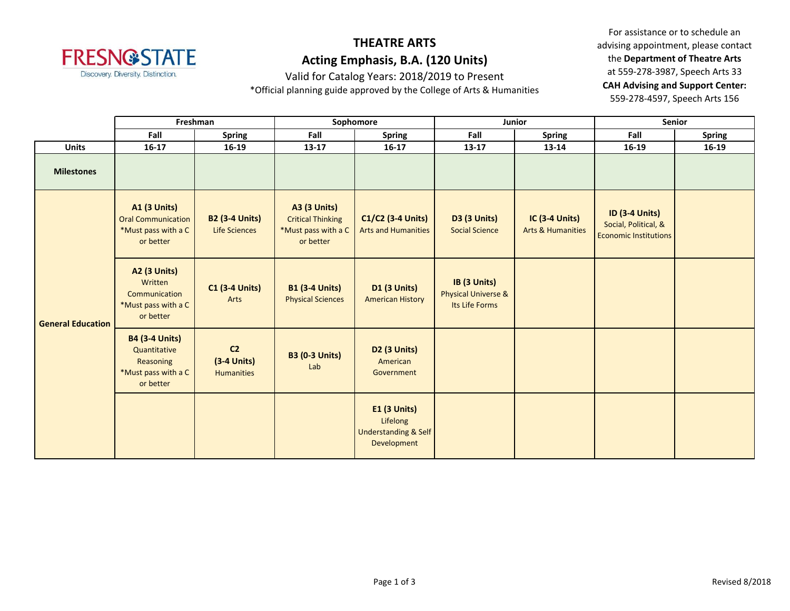

## **THEATRE ARTS Acting Emphasis, B.A. (120 Units)**

Valid for Catalog Years: 2018/2019 to Present

\*Official planning guide approved by the College of Arts & Humanities

For assistance or to schedule an advising appointment, please contact the **Department of Theatre Arts** at 559-278-3987, Speech Arts 33 **CAH Advising and Support Center:**  559-278-4597, Speech Arts 156

|                          | Freshman                                                                               |                                                      | Sophomore                                                                           |                                                                                   | <b>Junior</b>                                                    |                                                       | <b>Senior</b>                                                                 |               |
|--------------------------|----------------------------------------------------------------------------------------|------------------------------------------------------|-------------------------------------------------------------------------------------|-----------------------------------------------------------------------------------|------------------------------------------------------------------|-------------------------------------------------------|-------------------------------------------------------------------------------|---------------|
|                          | Fall                                                                                   | <b>Spring</b>                                        | Fall                                                                                | <b>Spring</b>                                                                     | Fall                                                             | <b>Spring</b>                                         | Fall                                                                          | <b>Spring</b> |
| <b>Units</b>             | $16-17$                                                                                | 16-19                                                | 13-17                                                                               | $16-17$                                                                           | $13 - 17$                                                        | 13-14                                                 | 16-19                                                                         | $16-19$       |
| <b>Milestones</b>        |                                                                                        |                                                      |                                                                                     |                                                                                   |                                                                  |                                                       |                                                                               |               |
| <b>General Education</b> | <b>A1 (3 Units)</b><br><b>Oral Communication</b><br>*Must pass with a C<br>or better   | <b>B2 (3-4 Units)</b><br><b>Life Sciences</b>        | <b>A3 (3 Units)</b><br><b>Critical Thinking</b><br>*Must pass with a C<br>or better | C1/C2 (3-4 Units)<br><b>Arts and Humanities</b>                                   | <b>D3 (3 Units)</b><br><b>Social Science</b>                     | <b>IC (3-4 Units)</b><br><b>Arts &amp; Humanities</b> | <b>ID (3-4 Units)</b><br>Social, Political, &<br><b>Economic Institutions</b> |               |
|                          | A2 (3 Units)<br>Written<br>Communication<br>*Must pass with a C<br>or better           | <b>C1 (3-4 Units)</b><br>Arts                        | <b>B1 (3-4 Units)</b><br><b>Physical Sciences</b>                                   | <b>D1 (3 Units)</b><br><b>American History</b>                                    | IB (3 Units)<br><b>Physical Universe &amp;</b><br>Its Life Forms |                                                       |                                                                               |               |
|                          | <b>B4 (3-4 Units)</b><br>Quantitative<br>Reasoning<br>*Must pass with a C<br>or better | C <sub>2</sub><br>$(3-4$ Units)<br><b>Humanities</b> | <b>B3 (0-3 Units)</b><br>Lab                                                        | D <sub>2</sub> (3 Units)<br>American<br>Government                                |                                                                  |                                                       |                                                                               |               |
|                          |                                                                                        |                                                      |                                                                                     | <b>E1 (3 Units)</b><br>Lifelong<br><b>Understanding &amp; Self</b><br>Development |                                                                  |                                                       |                                                                               |               |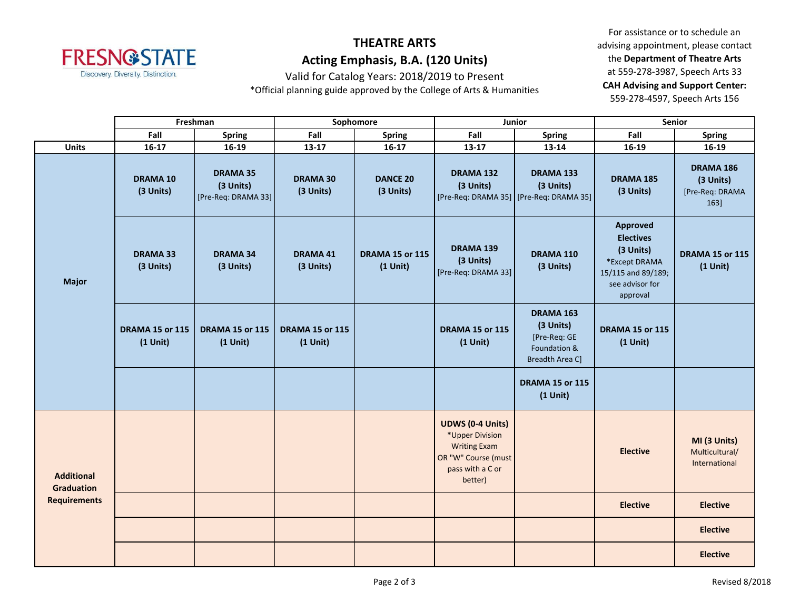

## **THEATRE ARTS Acting Emphasis, B.A. (120 Units)**

Valid for Catalog Years: 2018/2019 to Present

\*Official planning guide approved by the College of Arts & Humanities

For assistance or to schedule an advising appointment, please contact the **Department of Theatre Arts** at 559-278-3987, Speech Arts 33 **CAH Advising and Support Center:**  559-278-4597, Speech Arts 156

|                                                               | Freshman                             |                                                     | Sophomore                               |                                      | Junior                                                                                                                  |                                                                           | Senior                                                                                                          |                                                         |
|---------------------------------------------------------------|--------------------------------------|-----------------------------------------------------|-----------------------------------------|--------------------------------------|-------------------------------------------------------------------------------------------------------------------------|---------------------------------------------------------------------------|-----------------------------------------------------------------------------------------------------------------|---------------------------------------------------------|
|                                                               | Fall                                 | <b>Spring</b>                                       | Fall                                    | <b>Spring</b>                        | Fall                                                                                                                    | <b>Spring</b>                                                             | Fall                                                                                                            | <b>Spring</b>                                           |
| <b>Units</b>                                                  | $16-17$                              | 16-19                                               | $13-17$                                 | $16-17$                              | $13 - 17$                                                                                                               | 13-14                                                                     | 16-19                                                                                                           | 16-19                                                   |
| <b>Major</b>                                                  | <b>DRAMA 10</b><br>(3 Units)         | <b>DRAMA 35</b><br>(3 Units)<br>[Pre-Req: DRAMA 33] | <b>DRAMA 30</b><br>(3 Units)            | <b>DANCE 20</b><br>(3 Units)         | DRAMA 132<br>(3 Units)                                                                                                  | <b>DRAMA 133</b><br>(3 Units)<br>[Pre-Req: DRAMA 35] [Pre-Req: DRAMA 35]  | DRAMA 185<br>(3 Units)                                                                                          | <b>DRAMA 186</b><br>(3 Units)<br>[Pre-Req: DRAMA<br>163 |
|                                                               | <b>DRAMA 33</b><br>(3 Units)         | <b>DRAMA 34</b><br>(3 Units)                        | <b>DRAMA 41</b><br>(3 Units)            | <b>DRAMA 15 or 115</b><br>$(1$ Unit) | <b>DRAMA 139</b><br>(3 Units)<br>[Pre-Req: DRAMA 33]                                                                    | DRAMA 110<br>(3 Units)                                                    | Approved<br><b>Electives</b><br>(3 Units)<br>*Except DRAMA<br>15/115 and 89/189;<br>see advisor for<br>approval | <b>DRAMA 15 or 115</b><br>$(1$ Unit)                    |
|                                                               | <b>DRAMA 15 or 115</b><br>$(1$ Unit) | DRAMA 15 or 115<br>$(1$ Unit)                       | <b>DRAMA 15 or 115</b><br>$(1$ Unit $)$ |                                      | <b>DRAMA 15 or 115</b><br>$(1$ Unit)                                                                                    | DRAMA 163<br>(3 Units)<br>[Pre-Req: GE<br>Foundation &<br>Breadth Area C] | DRAMA 15 or 115<br>$(1$ Unit)                                                                                   |                                                         |
|                                                               |                                      |                                                     |                                         |                                      |                                                                                                                         | <b>DRAMA 15 or 115</b><br>$(1$ Unit)                                      |                                                                                                                 |                                                         |
| <b>Additional</b><br><b>Graduation</b><br><b>Requirements</b> |                                      |                                                     |                                         |                                      | <b>UDWS (0-4 Units)</b><br>*Upper Division<br><b>Writing Exam</b><br>OR "W" Course (must<br>pass with a C or<br>better) |                                                                           | <b>Elective</b>                                                                                                 | MI (3 Units)<br>Multicultural/<br>International         |
|                                                               |                                      |                                                     |                                         |                                      |                                                                                                                         |                                                                           | <b>Elective</b>                                                                                                 | <b>Elective</b>                                         |
|                                                               |                                      |                                                     |                                         |                                      |                                                                                                                         |                                                                           |                                                                                                                 | <b>Elective</b>                                         |
|                                                               |                                      |                                                     |                                         |                                      |                                                                                                                         |                                                                           |                                                                                                                 | <b>Elective</b>                                         |